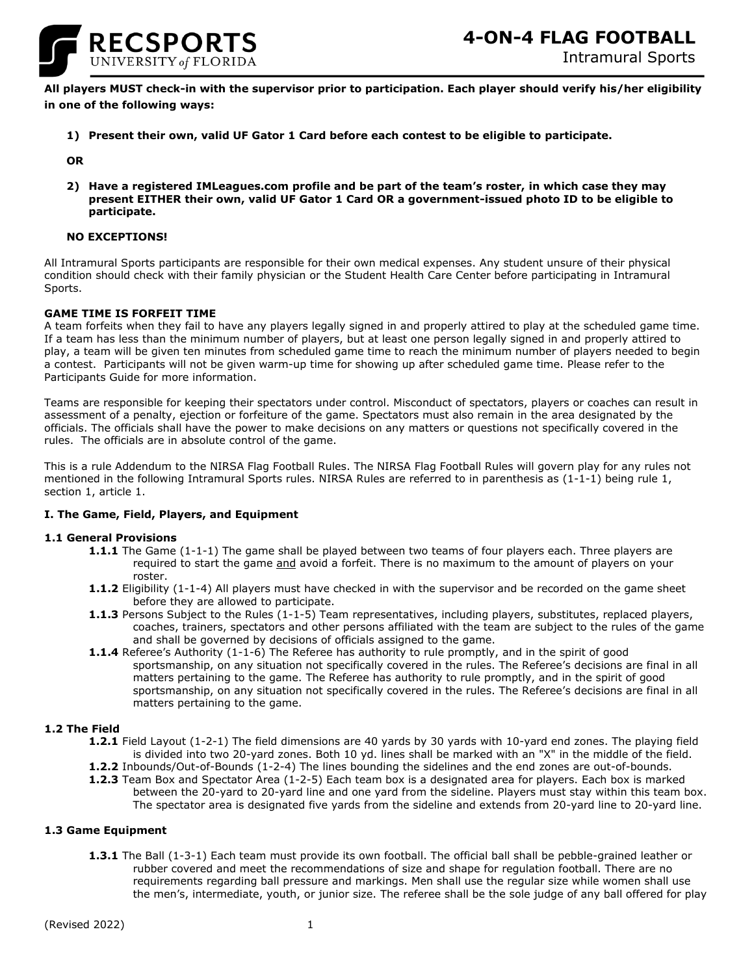

**All players MUST check-in with the supervisor prior to participation. Each player should verify his/her eligibility in one of the following ways:**

**1) Present their own, valid UF Gator 1 Card before each contest to be eligible to participate.**

**OR**

**2) Have a registered IMLeagues.com profile and be part of the team's roster, in which case they may present EITHER their own, valid UF Gator 1 Card OR a government-issued photo ID to be eligible to participate.**

# **NO EXCEPTIONS!**

All Intramural Sports participants are responsible for their own medical expenses. Any student unsure of their physical condition should check with their family physician or the Student Health Care Center before participating in Intramural Sports.

# **GAME TIME IS FORFEIT TIME**

A team forfeits when they fail to have any players legally signed in and properly attired to play at the scheduled game time. If a team has less than the minimum number of players, but at least one person legally signed in and properly attired to play, a team will be given ten minutes from scheduled game time to reach the minimum number of players needed to begin a contest. Participants will not be given warm-up time for showing up after scheduled game time. Please refer to the Participants Guide for more information.

Teams are responsible for keeping their spectators under control. Misconduct of spectators, players or coaches can result in assessment of a penalty, ejection or forfeiture of the game. Spectators must also remain in the area designated by the officials. The officials shall have the power to make decisions on any matters or questions not specifically covered in the rules. The officials are in absolute control of the game.

This is a rule Addendum to the NIRSA Flag Football Rules. The NIRSA Flag Football Rules will govern play for any rules not mentioned in the following Intramural Sports rules. NIRSA Rules are referred to in parenthesis as (1-1-1) being rule 1, section 1, article 1.

# **I. The Game, Field, Players, and Equipment**

# **1.1 General Provisions**

- **1.1.1** The Game (1-1-1) The game shall be played between two teams of four players each. Three players are required to start the game and avoid a forfeit. There is no maximum to the amount of players on your roster.
- **1.1.2** Eligibility (1-1-4) All players must have checked in with the supervisor and be recorded on the game sheet before they are allowed to participate.
- **1.1.3** Persons Subject to the Rules (1-1-5) Team representatives, including players, substitutes, replaced players, coaches, trainers, spectators and other persons affiliated with the team are subject to the rules of the game and shall be governed by decisions of officials assigned to the game.
- **1.1.4** Referee's Authority (1-1-6) The Referee has authority to rule promptly, and in the spirit of good sportsmanship, on any situation not specifically covered in the rules. The Referee's decisions are final in all matters pertaining to the game. The Referee has authority to rule promptly, and in the spirit of good sportsmanship, on any situation not specifically covered in the rules. The Referee's decisions are final in all matters pertaining to the game.

# **1.2 The Field**

- **1.2.1** Field Layout (1-2-1) The field dimensions are 40 yards by 30 yards with 10-yard end zones. The playing field is divided into two 20-yard zones. Both 10 yd. lines shall be marked with an "X" in the middle of the field.
- **1.2.2** Inbounds/Out-of-Bounds (1-2-4) The lines bounding the sidelines and the end zones are out-of-bounds.
- **1.2.3** Team Box and Spectator Area (1-2-5) Each team box is a designated area for players. Each box is marked between the 20-yard to 20-yard line and one yard from the sideline. Players must stay within this team box. The spectator area is designated five yards from the sideline and extends from 20-yard line to 20-yard line.

# **1.3 Game Equipment**

**1.3.1** The Ball (1-3-1) Each team must provide its own football. The official ball shall be pebble-grained leather or rubber covered and meet the recommendations of size and shape for regulation football. There are no requirements regarding ball pressure and markings. Men shall use the regular size while women shall use the men's, intermediate, youth, or junior size. The referee shall be the sole judge of any ball offered for play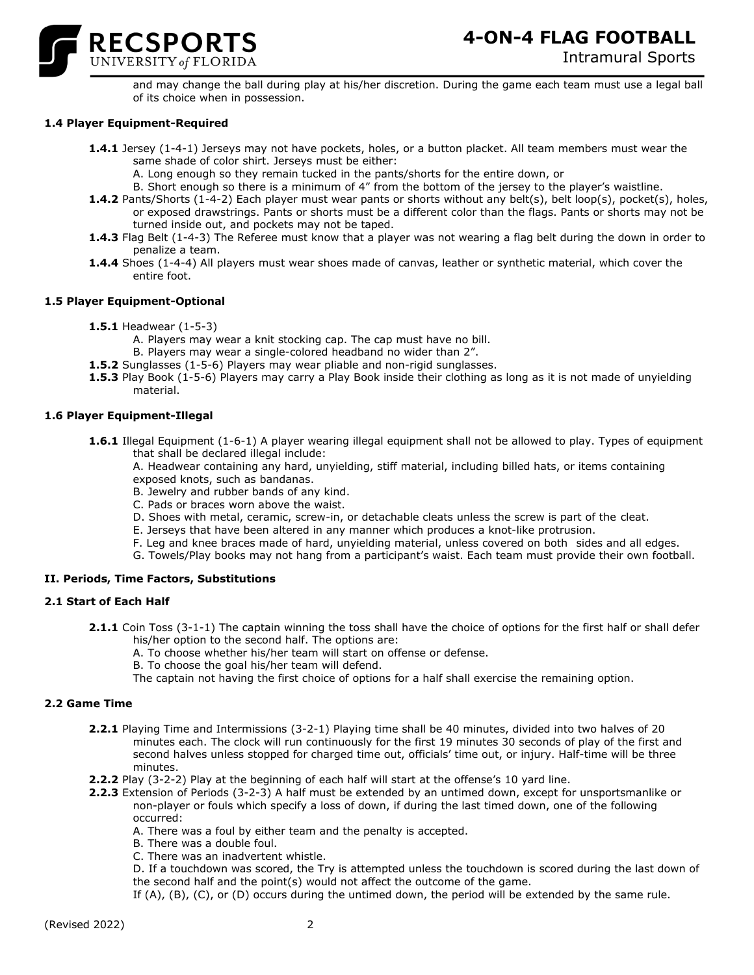

and may change the ball during play at his/her discretion. During the game each team must use a legal ball of its choice when in possession.

# **1.4 Player Equipment-Required**

- **1.4.1** Jersey (1-4-1) Jerseys may not have pockets, holes, or a button placket. All team members must wear the same shade of color shirt. Jerseys must be either:
	- A. Long enough so they remain tucked in the pants/shorts for the entire down, or
	- B. Short enough so there is a minimum of 4" from the bottom of the jersey to the player's waistline.
- **1.4.2** Pants/Shorts (1-4-2) Each player must wear pants or shorts without any belt(s), belt loop(s), pocket(s), holes, or exposed drawstrings. Pants or shorts must be a different color than the flags. Pants or shorts may not be turned inside out, and pockets may not be taped.
- **1.4.3** Flag Belt (1-4-3) The Referee must know that a player was not wearing a flag belt during the down in order to penalize a team.
- **1.4.4** Shoes (1-4-4) All players must wear shoes made of canvas, leather or synthetic material, which cover the entire foot.

# **1.5 Player Equipment-Optional**

- **1.5.1** Headwear (1-5-3)
	- A. Players may wear a knit stocking cap. The cap must have no bill.
	- B. Players may wear a single-colored headband no wider than 2".
- **1.5.2** Sunglasses (1-5-6) Players may wear pliable and non-rigid sunglasses.
- **1.5.3** Play Book (1-5-6) Players may carry a Play Book inside their clothing as long as it is not made of unyielding material.

# **1.6 Player Equipment-Illegal**

**1.6.1** Illegal Equipment (1-6-1) A player wearing illegal equipment shall not be allowed to play. Types of equipment that shall be declared illegal include:

A. Headwear containing any hard, unyielding, stiff material, including billed hats, or items containing exposed knots, such as bandanas.

- B. Jewelry and rubber bands of any kind.
- C. Pads or braces worn above the waist.
- D. Shoes with metal, ceramic, screw-in, or detachable cleats unless the screw is part of the cleat.
- E. Jerseys that have been altered in any manner which produces a knot-like protrusion.
- F. Leg and knee braces made of hard, unyielding material, unless covered on both sides and all edges.
- G. Towels/Play books may not hang from a participant's waist. Each team must provide their own football.

# **II. Periods, Time Factors, Substitutions**

# **2.1 Start of Each Half**

- **2.1.1** Coin Toss (3-1-1) The captain winning the toss shall have the choice of options for the first half or shall defer his/her option to the second half. The options are:
	- A. To choose whether his/her team will start on offense or defense.
	- B. To choose the goal his/her team will defend.

The captain not having the first choice of options for a half shall exercise the remaining option.

# **2.2 Game Time**

- **2.2.1** Playing Time and Intermissions (3-2-1) Playing time shall be 40 minutes, divided into two halves of 20 minutes each. The clock will run continuously for the first 19 minutes 30 seconds of play of the first and second halves unless stopped for charged time out, officials' time out, or injury. Half-time will be three minutes.
- **2.2.2** Play (3-2-2) Play at the beginning of each half will start at the offense's 10 yard line.
- **2.2.3** Extension of Periods (3-2-3) A half must be extended by an untimed down, except for unsportsmanlike or non-player or fouls which specify a loss of down, if during the last timed down, one of the following occurred:
	- A. There was a foul by either team and the penalty is accepted.
	- B. There was a double foul.
	- C. There was an inadvertent whistle.

D. If a touchdown was scored, the Try is attempted unless the touchdown is scored during the last down of the second half and the point(s) would not affect the outcome of the game.

If (A), (B), (C), or (D) occurs during the untimed down, the period will be extended by the same rule.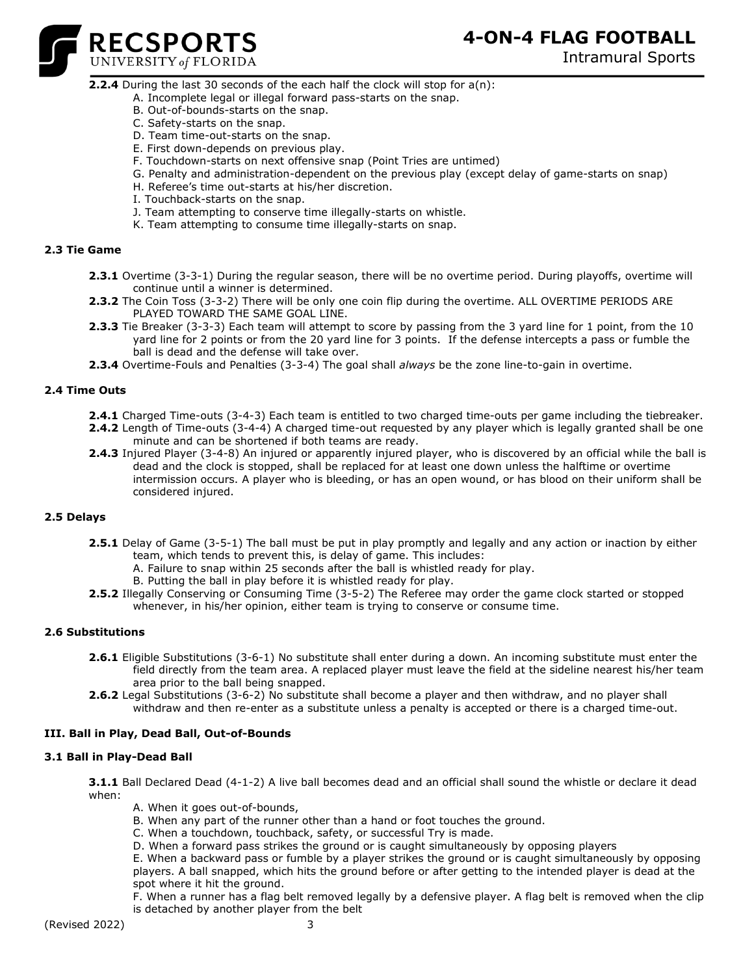Intramural Sports



# **2.2.4** During the last 30 seconds of the each half the clock will stop for a(n):

- A. Incomplete legal or illegal forward pass-starts on the snap.
- B. Out-of-bounds-starts on the snap.
- C. Safety-starts on the snap.
- D. Team time-out-starts on the snap.
- E. First down-depends on previous play.
- F. Touchdown-starts on next offensive snap (Point Tries are untimed)
- G. Penalty and administration-dependent on the previous play (except delay of game-starts on snap)
- H. Referee's time out-starts at his/her discretion.
- I. Touchback-starts on the snap.
- J. Team attempting to conserve time illegally-starts on whistle.
- K. Team attempting to consume time illegally-starts on snap.

# **2.3 Tie Game**

- **2.3.1** Overtime (3-3-1) During the regular season, there will be no overtime period. During playoffs, overtime will continue until a winner is determined.
- **2.3.2** The Coin Toss (3-3-2) There will be only one coin flip during the overtime. ALL OVERTIME PERIODS ARE PLAYED TOWARD THE SAME GOAL LINE.
- **2.3.3** Tie Breaker (3-3-3) Each team will attempt to score by passing from the 3 yard line for 1 point, from the 10 yard line for 2 points or from the 20 yard line for 3 points. If the defense intercepts a pass or fumble the ball is dead and the defense will take over.
- **2.3.4** Overtime-Fouls and Penalties (3-3-4) The goal shall *always* be the zone line-to-gain in overtime.

# **2.4 Time Outs**

- **2.4.1** Charged Time-outs (3-4-3) Each team is entitled to two charged time-outs per game including the tiebreaker.
- **2.4.2** Length of Time-outs (3-4-4) A charged time-out requested by any player which is legally granted shall be one minute and can be shortened if both teams are ready.
- **2.4.3** Injured Player (3-4-8) An injured or apparently injured player, who is discovered by an official while the ball is dead and the clock is stopped, shall be replaced for at least one down unless the halftime or overtime intermission occurs. A player who is bleeding, or has an open wound, or has blood on their uniform shall be considered injured.

# **2.5 Delays**

- **2.5.1** Delay of Game (3-5-1) The ball must be put in play promptly and legally and any action or inaction by either team, which tends to prevent this, is delay of game. This includes:
	- A. Failure to snap within 25 seconds after the ball is whistled ready for play.
	- B. Putting the ball in play before it is whistled ready for play.
- **2.5.2** Illegally Conserving or Consuming Time (3-5-2) The Referee may order the game clock started or stopped whenever, in his/her opinion, either team is trying to conserve or consume time.

# **2.6 Substitutions**

- **2.6.1** Eligible Substitutions (3-6-1) No substitute shall enter during a down. An incoming substitute must enter the field directly from the team area. A replaced player must leave the field at the sideline nearest his/her team area prior to the ball being snapped.
- **2.6.2** Legal Substitutions (3-6-2) No substitute shall become a player and then withdraw, and no player shall withdraw and then re-enter as a substitute unless a penalty is accepted or there is a charged time-out.

# **III. Ball in Play, Dead Ball, Out-of-Bounds**

# **3.1 Ball in Play-Dead Ball**

**3.1.1** Ball Declared Dead (4-1-2) A live ball becomes dead and an official shall sound the whistle or declare it dead when:

- A. When it goes out-of-bounds,
- B. When any part of the runner other than a hand or foot touches the ground.
- C. When a touchdown, touchback, safety, or successful Try is made.
- D. When a forward pass strikes the ground or is caught simultaneously by opposing players

E. When a backward pass or fumble by a player strikes the ground or is caught simultaneously by opposing players. A ball snapped, which hits the ground before or after getting to the intended player is dead at the spot where it hit the ground.

F. When a runner has a flag belt removed legally by a defensive player. A flag belt is removed when the clip is detached by another player from the belt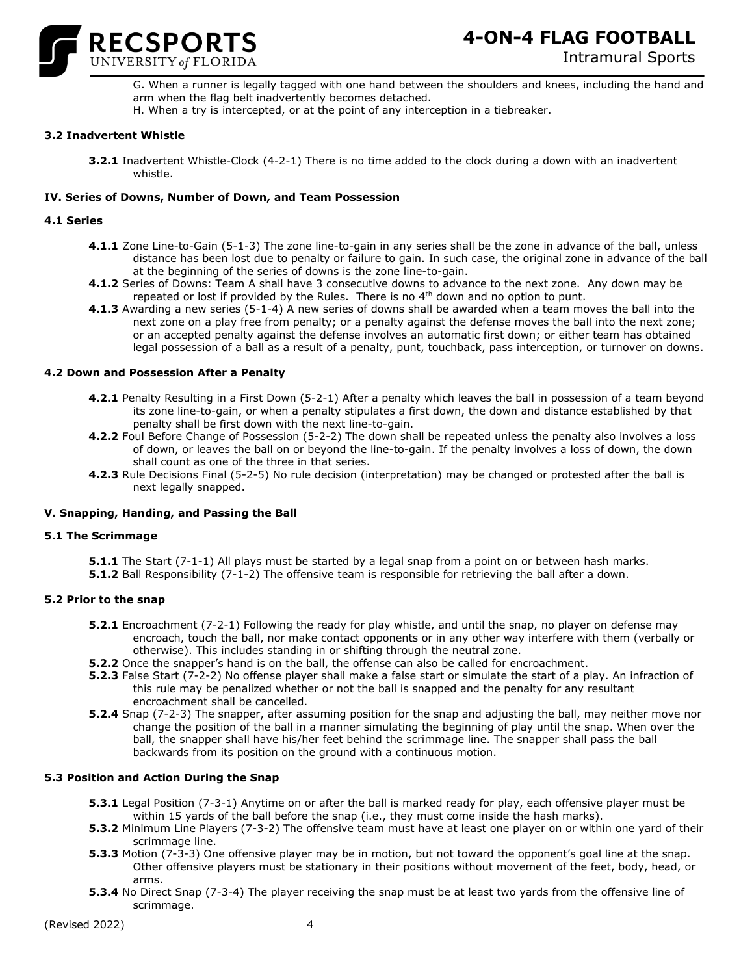

- G. When a runner is legally tagged with one hand between the shoulders and knees, including the hand and arm when the flag belt inadvertently becomes detached.
- H. When a try is intercepted, or at the point of any interception in a tiebreaker.

# **3.2 Inadvertent Whistle**

**3.2.1** Inadvertent Whistle-Clock (4-2-1) There is no time added to the clock during a down with an inadvertent whistle.

# **IV. Series of Downs, Number of Down, and Team Possession**

# **4.1 Series**

- **4.1.1** Zone Line-to-Gain (5-1-3) The zone line-to-gain in any series shall be the zone in advance of the ball, unless distance has been lost due to penalty or failure to gain. In such case, the original zone in advance of the ball at the beginning of the series of downs is the zone line-to-gain.
- **4.1.2** Series of Downs: Team A shall have 3 consecutive downs to advance to the next zone. Any down may be repeated or lost if provided by the Rules. There is no 4<sup>th</sup> down and no option to punt.
- **4.1.3** Awarding a new series (5-1-4) A new series of downs shall be awarded when a team moves the ball into the next zone on a play free from penalty; or a penalty against the defense moves the ball into the next zone; or an accepted penalty against the defense involves an automatic first down; or either team has obtained legal possession of a ball as a result of a penalty, punt, touchback, pass interception, or turnover on downs.

# **4.2 Down and Possession After a Penalty**

- **4.2.1** Penalty Resulting in a First Down (5-2-1) After a penalty which leaves the ball in possession of a team beyond its zone line-to-gain, or when a penalty stipulates a first down, the down and distance established by that penalty shall be first down with the next line-to-gain.
- **4.2.2** Foul Before Change of Possession (5-2-2) The down shall be repeated unless the penalty also involves a loss of down, or leaves the ball on or beyond the line-to-gain. If the penalty involves a loss of down, the down shall count as one of the three in that series.
- **4.2.3** Rule Decisions Final (5-2-5) No rule decision (interpretation) may be changed or protested after the ball is next legally snapped.

# **V. Snapping, Handing, and Passing the Ball**

# **5.1 The Scrimmage**

- **5.1.1** The Start (7-1-1) All plays must be started by a legal snap from a point on or between hash marks.
- **5.1.2** Ball Responsibility (7-1-2) The offensive team is responsible for retrieving the ball after a down.

# **5.2 Prior to the snap**

- **5.2.1** Encroachment (7-2-1) Following the ready for play whistle, and until the snap, no player on defense may encroach, touch the ball, nor make contact opponents or in any other way interfere with them (verbally or otherwise). This includes standing in or shifting through the neutral zone.
- **5.2.2** Once the snapper's hand is on the ball, the offense can also be called for encroachment.
- **5.2.3** False Start (7-2-2) No offense player shall make a false start or simulate the start of a play. An infraction of this rule may be penalized whether or not the ball is snapped and the penalty for any resultant encroachment shall be cancelled.
- **5.2.4** Snap (7-2-3) The snapper, after assuming position for the snap and adjusting the ball, may neither move nor change the position of the ball in a manner simulating the beginning of play until the snap. When over the ball, the snapper shall have his/her feet behind the scrimmage line. The snapper shall pass the ball backwards from its position on the ground with a continuous motion.

# **5.3 Position and Action During the Snap**

- **5.3.1** Legal Position (7-3-1) Anytime on or after the ball is marked ready for play, each offensive player must be within 15 yards of the ball before the snap (i.e., they must come inside the hash marks).
- **5.3.2** Minimum Line Players (7-3-2) The offensive team must have at least one player on or within one yard of their scrimmage line.
- **5.3.3** Motion (7-3-3) One offensive player may be in motion, but not toward the opponent's goal line at the snap. Other offensive players must be stationary in their positions without movement of the feet, body, head, or arms.
- **5.3.4** No Direct Snap (7-3-4) The player receiving the snap must be at least two yards from the offensive line of scrimmage.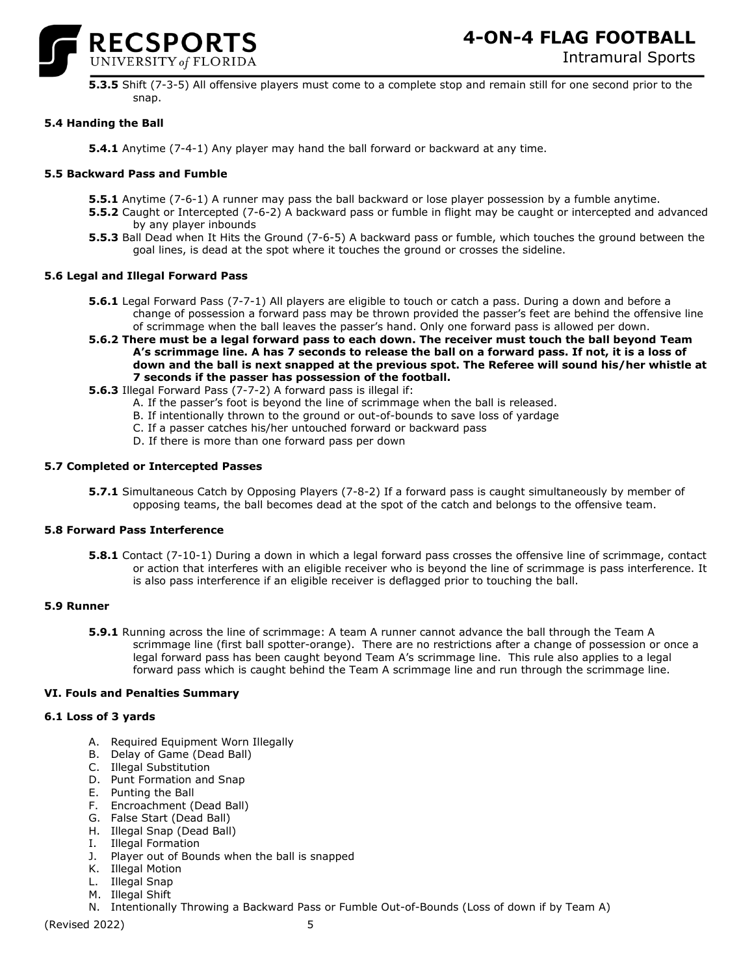

**5.3.5** Shift (7-3-5) All offensive players must come to a complete stop and remain still for one second prior to the snap.

# **5.4 Handing the Ball**

**5.4.1** Anytime (7-4-1) Any player may hand the ball forward or backward at any time.

### **5.5 Backward Pass and Fumble**

- **5.5.1** Anytime (7-6-1) A runner may pass the ball backward or lose player possession by a fumble anytime.
- **5.5.2** Caught or Intercepted (7-6-2) A backward pass or fumble in flight may be caught or intercepted and advanced by any player inbounds
- **5.5.3** Ball Dead when It Hits the Ground (7-6-5) A backward pass or fumble, which touches the ground between the goal lines, is dead at the spot where it touches the ground or crosses the sideline.

#### **5.6 Legal and Illegal Forward Pass**

- **5.6.1** Legal Forward Pass (7-7-1) All players are eligible to touch or catch a pass. During a down and before a change of possession a forward pass may be thrown provided the passer's feet are behind the offensive line of scrimmage when the ball leaves the passer's hand. Only one forward pass is allowed per down.
- **5.6.2 There must be a legal forward pass to each down. The receiver must touch the ball beyond Team A's scrimmage line. A has 7 seconds to release the ball on a forward pass. If not, it is a loss of down and the ball is next snapped at the previous spot. The Referee will sound his/her whistle at 7 seconds if the passer has possession of the football.**
- **5.6.3** Illegal Forward Pass (7-7-2) A forward pass is illegal if:
	- A. If the passer's foot is beyond the line of scrimmage when the ball is released.
	- B. If intentionally thrown to the ground or out-of-bounds to save loss of yardage
	- C. If a passer catches his/her untouched forward or backward pass
	- D. If there is more than one forward pass per down

### **5.7 Completed or Intercepted Passes**

**5.7.1** Simultaneous Catch by Opposing Players (7-8-2) If a forward pass is caught simultaneously by member of opposing teams, the ball becomes dead at the spot of the catch and belongs to the offensive team.

#### **5.8 Forward Pass Interference**

**5.8.1** Contact (7-10-1) During a down in which a legal forward pass crosses the offensive line of scrimmage, contact or action that interferes with an eligible receiver who is beyond the line of scrimmage is pass interference. It is also pass interference if an eligible receiver is deflagged prior to touching the ball.

#### **5.9 Runner**

**5.9.1** Running across the line of scrimmage: A team A runner cannot advance the ball through the Team A scrimmage line (first ball spotter-orange). There are no restrictions after a change of possession or once a legal forward pass has been caught beyond Team A's scrimmage line. This rule also applies to a legal forward pass which is caught behind the Team A scrimmage line and run through the scrimmage line.

# **VI. Fouls and Penalties Summary**

# **6.1 Loss of 3 yards**

- A. Required Equipment Worn Illegally
- B. Delay of Game (Dead Ball)
- C. Illegal Substitution
- D. Punt Formation and Snap
- E. Punting the Ball
- F. Encroachment (Dead Ball)
- G. False Start (Dead Ball)
- H. Illegal Snap (Dead Ball)
- I. Illegal Formation
- J. Player out of Bounds when the ball is snapped
- K. Illegal Motion
- L. Illegal Snap
- M. Illegal Shift
	- N. Intentionally Throwing a Backward Pass or Fumble Out-of-Bounds (Loss of down if by Team A)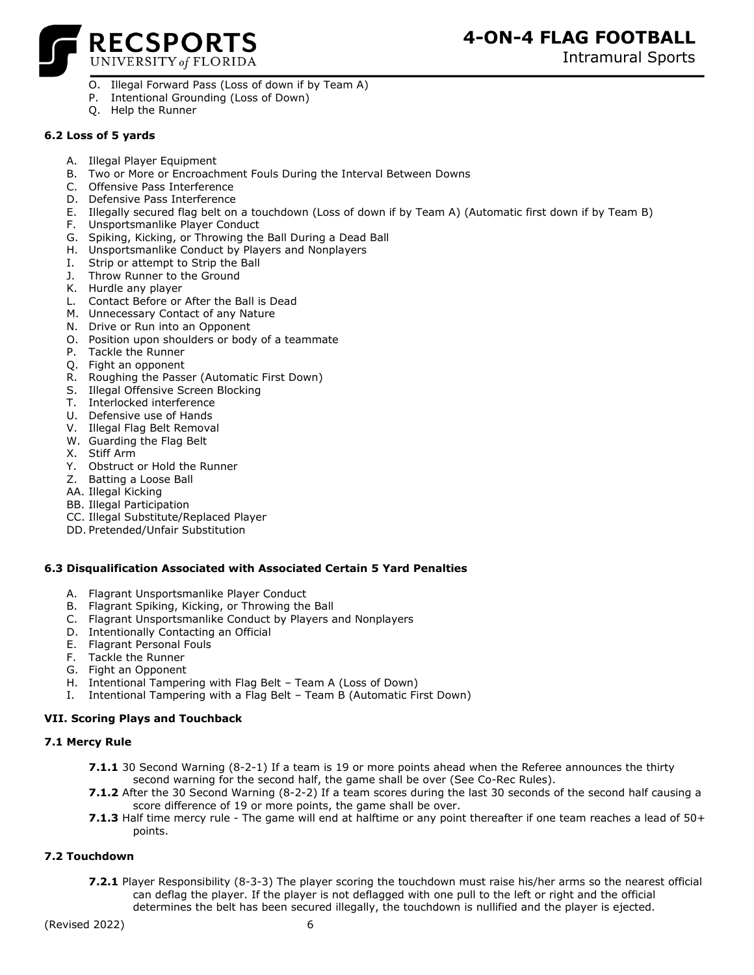

Intramural Sports

- O. Illegal Forward Pass (Loss of down if by Team A)
- P. Intentional Grounding (Loss of Down)
- Q. Help the Runner

# **6.2 Loss of 5 yards**

- A. Illegal Player Equipment
- B. Two or More or Encroachment Fouls During the Interval Between Downs
- C. Offensive Pass Interference
- D. Defensive Pass Interference
- E. Illegally secured flag belt on a touchdown (Loss of down if by Team A) (Automatic first down if by Team B)
- F. Unsportsmanlike Player Conduct
- G. Spiking, Kicking, or Throwing the Ball During a Dead Ball
- H. Unsportsmanlike Conduct by Players and Nonplayers
- I. Strip or attempt to Strip the Ball
- J. Throw Runner to the Ground
- K. Hurdle any player
- L. Contact Before or After the Ball is Dead
- M. Unnecessary Contact of any Nature
- N. Drive or Run into an Opponent
- O. Position upon shoulders or body of a teammate
- P. Tackle the Runner
- Q. Fight an opponent
- R. Roughing the Passer (Automatic First Down)
- S. Illegal Offensive Screen Blocking
- T. Interlocked interference
- U. Defensive use of Hands
- V. Illegal Flag Belt Removal
- W. Guarding the Flag Belt
- X. Stiff Arm
- Y. Obstruct or Hold the Runner
- Z. Batting a Loose Ball
- AA. Illegal Kicking
- BB. Illegal Participation
- CC. Illegal Substitute/Replaced Player
- DD. Pretended/Unfair Substitution

# **6.3 Disqualification Associated with Associated Certain 5 Yard Penalties**

- A. Flagrant Unsportsmanlike Player Conduct
- B. Flagrant Spiking, Kicking, or Throwing the Ball
- C. Flagrant Unsportsmanlike Conduct by Players and Nonplayers
- D. Intentionally Contacting an Official
- E. Flagrant Personal Fouls
- F. Tackle the Runner
- G. Fight an Opponent
- H. Intentional Tampering with Flag Belt Team A (Loss of Down)
- I. Intentional Tampering with a Flag Belt Team B (Automatic First Down)

# **VII. Scoring Plays and Touchback**

# **7.1 Mercy Rule**

- **7.1.1** 30 Second Warning (8-2-1) If a team is 19 or more points ahead when the Referee announces the thirty second warning for the second half, the game shall be over (See Co-Rec Rules).
- **7.1.2** After the 30 Second Warning (8-2-2) If a team scores during the last 30 seconds of the second half causing a score difference of 19 or more points, the game shall be over.
- **7.1.3** Half time mercy rule The game will end at halftime or any point thereafter if one team reaches a lead of 50+ points.

# **7.2 Touchdown**

**7.2.1** Player Responsibility (8-3-3) The player scoring the touchdown must raise his/her arms so the nearest official can deflag the player. If the player is not deflagged with one pull to the left or right and the official determines the belt has been secured illegally, the touchdown is nullified and the player is ejected.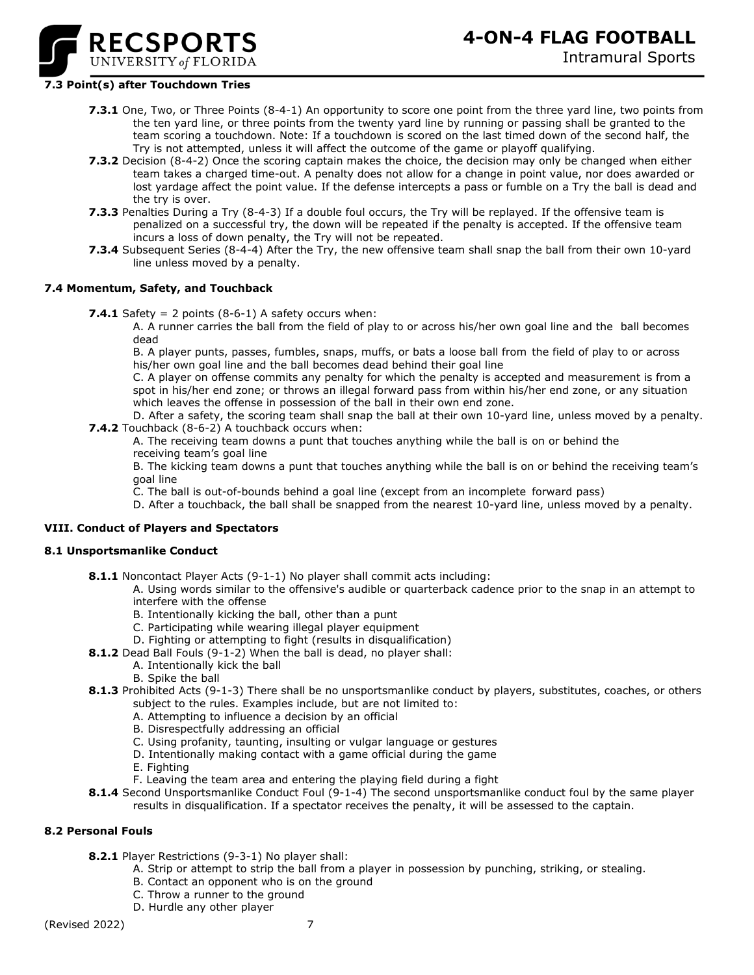

# Intramural Sports

### **7.3 Point(s) after Touchdown Tries**

- **7.3.1** One, Two, or Three Points (8-4-1) An opportunity to score one point from the three yard line, two points from the ten yard line, or three points from the twenty yard line by running or passing shall be granted to the team scoring a touchdown. Note: If a touchdown is scored on the last timed down of the second half, the Try is not attempted, unless it will affect the outcome of the game or playoff qualifying.
- **7.3.2** Decision (8-4-2) Once the scoring captain makes the choice, the decision may only be changed when either team takes a charged time-out. A penalty does not allow for a change in point value, nor does awarded or lost yardage affect the point value. If the defense intercepts a pass or fumble on a Try the ball is dead and the try is over.
- **7.3.3** Penalties During a Try (8-4-3) If a double foul occurs, the Try will be replayed. If the offensive team is penalized on a successful try, the down will be repeated if the penalty is accepted. If the offensive team incurs a loss of down penalty, the Try will not be repeated.
- **7.3.4** Subsequent Series (8-4-4) After the Try, the new offensive team shall snap the ball from their own 10-yard line unless moved by a penalty.

#### **7.4 Momentum, Safety, and Touchback**

**7.4.1** Safety = 2 points  $(8-6-1)$  A safety occurs when:

A. A runner carries the ball from the field of play to or across his/her own goal line and the ball becomes dead

B. A player punts, passes, fumbles, snaps, muffs, or bats a loose ball from the field of play to or across his/her own goal line and the ball becomes dead behind their goal line

C. A player on offense commits any penalty for which the penalty is accepted and measurement is from a spot in his/her end zone; or throws an illegal forward pass from within his/her end zone, or any situation which leaves the offense in possession of the ball in their own end zone.

D. After a safety, the scoring team shall snap the ball at their own 10-yard line, unless moved by a penalty. **7.4.2** Touchback (8-6-2) A touchback occurs when:

A. The receiving team downs a punt that touches anything while the ball is on or behind the receiving team's goal line

B. The kicking team downs a punt that touches anything while the ball is on or behind the receiving team's goal line

C. The ball is out-of-bounds behind a goal line (except from an incomplete forward pass)

D. After a touchback, the ball shall be snapped from the nearest 10-yard line, unless moved by a penalty.

# **VIII. Conduct of Players and Spectators**

#### **8.1 Unsportsmanlike Conduct**

**8.1.1** Noncontact Player Acts (9-1-1) No player shall commit acts including:

A. Using words similar to the offensive's audible or quarterback cadence prior to the snap in an attempt to interfere with the offense

- B. Intentionally kicking the ball, other than a punt
- C. Participating while wearing illegal player equipment
- D. Fighting or attempting to fight (results in disqualification)
- **8.1.2** Dead Ball Fouls (9-1-2) When the ball is dead, no player shall:
	- A. Intentionally kick the ball
		- B. Spike the ball
- **8.1.3** Prohibited Acts (9-1-3) There shall be no unsportsmanlike conduct by players, substitutes, coaches, or others subject to the rules. Examples include, but are not limited to:
	- A. Attempting to influence a decision by an official
	- B. Disrespectfully addressing an official
	- C. Using profanity, taunting, insulting or vulgar language or gestures
	- D. Intentionally making contact with a game official during the game
	- E. Fighting
	- F. Leaving the team area and entering the playing field during a fight
- **8.1.4** Second Unsportsmanlike Conduct Foul (9-1-4) The second unsportsmanlike conduct foul by the same player results in disqualification. If a spectator receives the penalty, it will be assessed to the captain.

#### **8.2 Personal Fouls**

- **8.2.1** Player Restrictions (9-3-1) No player shall:
	- A. Strip or attempt to strip the ball from a player in possession by punching, striking, or stealing.
	- B. Contact an opponent who is on the ground
	- C. Throw a runner to the ground
	- D. Hurdle any other player